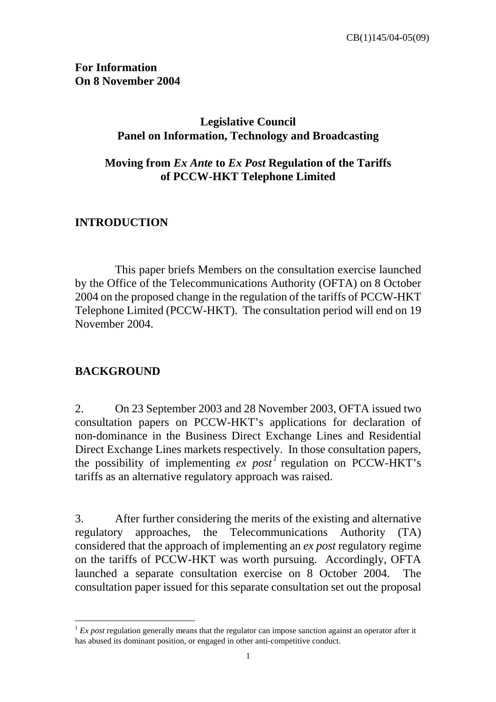#### **For Information On 8 November 2004**

### **Legislative Council Panel on Information, Technology and Broadcasting**

### **Moving from** *Ex Ante* **to** *Ex Post* **Regulation of the Tariffs of PCCW-HKT Telephone Limited**

### **INTRODUCTION**

 This paper briefs Members on the consultation exercise launched by the Office of the Telecommunications Authority (OFTA) on 8 October 2004 on the proposed change in the regulation of the tariffs of PCCW-HKT Telephone Limited (PCCW-HKT). The consultation period will end on 19 November 2004.

#### **BACKGROUND**

 $\overline{a}$ 

2. On 23 September 2003 and 28 November 2003, OFTA issued two consultation papers on PCCW-HKT's applications for declaration of non-dominance in the Business Direct Exchange Lines and Residential Direct Exchange Lines markets respectively. In those consultation papers, the possibility of implementing  $ex$  post<sup>1</sup> regulation on PCCW-HKT's tariffs as an alternative regulatory approach was raised.

3. After further considering the merits of the existing and alternative regulatory approaches, the Telecommunications Authority (TA) considered that the approach of implementing an *ex post* regulatory regime on the tariffs of PCCW-HKT was worth pursuing. Accordingly, OFTA launched a separate consultation exercise on 8 October 2004. The consultation paper issued for this separate consultation set out the proposal

 $1 Ex$  *post* regulation generally means that the regulator can impose sanction against an operator after it has abused its dominant position, or engaged in other anti-competitive conduct.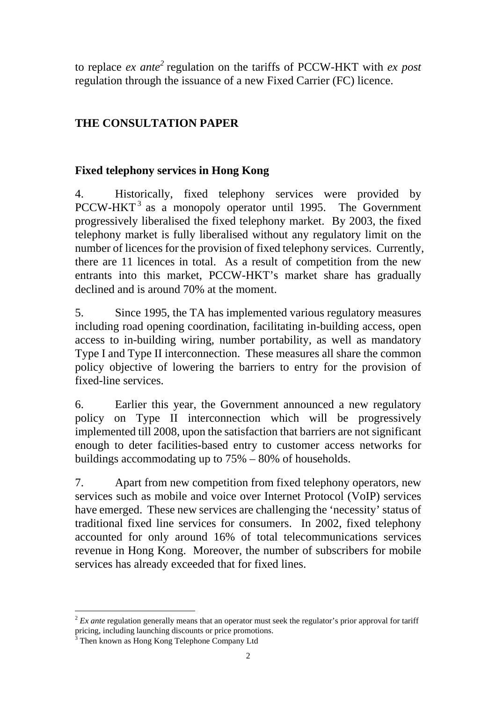to replace *ex ante*<sup>2</sup> regulation on the tariffs of PCCW-HKT with *ex post* regulation through the issuance of a new Fixed Carrier (FC) licence.

# **THE CONSULTATION PAPER**

# **Fixed telephony services in Hong Kong**

4. Historically, fixed telephony services were provided by PCCW-HKT<sup>3</sup> as a monopoly operator until 1995. The Government progressively liberalised the fixed telephony market. By 2003, the fixed telephony market is fully liberalised without any regulatory limit on the number of licences for the provision of fixed telephony services. Currently, there are 11 licences in total. As a result of competition from the new entrants into this market, PCCW-HKT's market share has gradually declined and is around 70% at the moment.

5. Since 1995, the TA has implemented various regulatory measures including road opening coordination, facilitating in-building access, open access to in-building wiring, number portability, as well as mandatory Type I and Type II interconnection. These measures all share the common policy objective of lowering the barriers to entry for the provision of fixed-line services.

6. Earlier this year, the Government announced a new regulatory policy on Type II interconnection which will be progressively implemented till 2008, upon the satisfaction that barriers are not significant enough to deter facilities-based entry to customer access networks for buildings accommodating up to 75% – 80% of households.

7. Apart from new competition from fixed telephony operators, new services such as mobile and voice over Internet Protocol (VoIP) services have emerged. These new services are challenging the 'necessity' status of traditional fixed line services for consumers. In 2002, fixed telephony accounted for only around 16% of total telecommunications services revenue in Hong Kong. Moreover, the number of subscribers for mobile services has already exceeded that for fixed lines.

 $\overline{a}$ <sup>2</sup> *Ex ante* regulation generally means that an operator must seek the regulator's prior approval for tariff pricing, including launching discounts or price promotions.<br><sup>3</sup> Then known as Hong Kong Telephone Company Ltd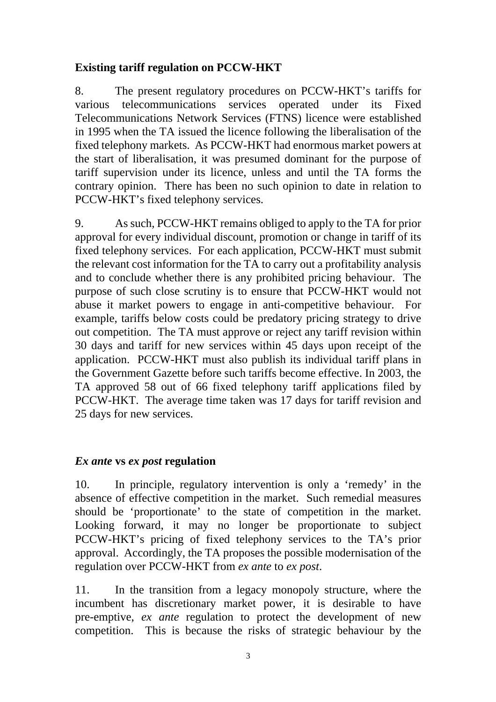### **Existing tariff regulation on PCCW-HKT**

8. The present regulatory procedures on PCCW-HKT's tariffs for various telecommunications services operated under its Fixed Telecommunications Network Services (FTNS) licence were established in 1995 when the TA issued the licence following the liberalisation of the fixed telephony markets. As PCCW-HKT had enormous market powers at the start of liberalisation, it was presumed dominant for the purpose of tariff supervision under its licence, unless and until the TA forms the contrary opinion. There has been no such opinion to date in relation to PCCW-HKT's fixed telephony services.

9. As such, PCCW-HKT remains obliged to apply to the TA for prior approval for every individual discount, promotion or change in tariff of its fixed telephony services. For each application, PCCW-HKT must submit the relevant cost information for the TA to carry out a profitability analysis and to conclude whether there is any prohibited pricing behaviour. The purpose of such close scrutiny is to ensure that PCCW-HKT would not abuse it market powers to engage in anti-competitive behaviour. For example, tariffs below costs could be predatory pricing strategy to drive out competition. The TA must approve or reject any tariff revision within 30 days and tariff for new services within 45 days upon receipt of the application. PCCW-HKT must also publish its individual tariff plans in the Government Gazette before such tariffs become effective. In 2003, the TA approved 58 out of 66 fixed telephony tariff applications filed by PCCW-HKT. The average time taken was 17 days for tariff revision and 25 days for new services.

#### *Ex ante* **vs** *ex post* **regulation**

10. In principle, regulatory intervention is only a 'remedy' in the absence of effective competition in the market. Such remedial measures should be 'proportionate' to the state of competition in the market. Looking forward, it may no longer be proportionate to subject PCCW-HKT's pricing of fixed telephony services to the TA's prior approval. Accordingly, the TA proposes the possible modernisation of the regulation over PCCW-HKT from *ex ante* to *ex post*.

11. In the transition from a legacy monopoly structure, where the incumbent has discretionary market power, it is desirable to have pre-emptive, *ex ante* regulation to protect the development of new competition. This is because the risks of strategic behaviour by the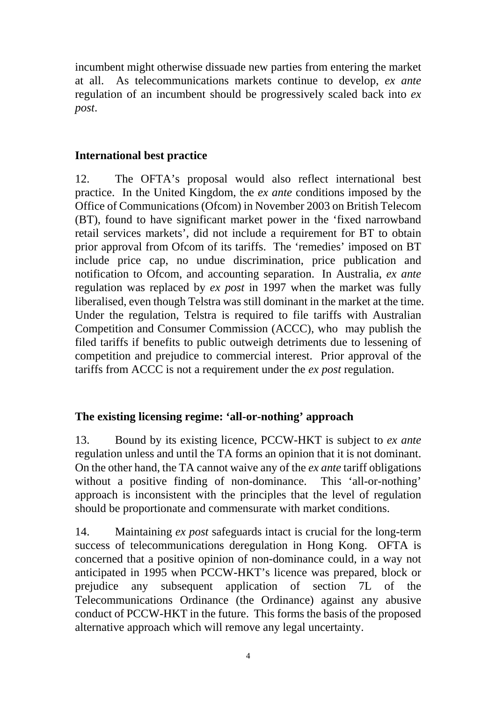incumbent might otherwise dissuade new parties from entering the market at all. As telecommunications markets continue to develop, *ex ante* regulation of an incumbent should be progressively scaled back into *ex post*.

## **International best practice**

12. The OFTA's proposal would also reflect international best practice. In the United Kingdom, the *ex ante* conditions imposed by the Office of Communications (Ofcom) in November 2003 on British Telecom (BT), found to have significant market power in the 'fixed narrowband retail services markets', did not include a requirement for BT to obtain prior approval from Ofcom of its tariffs. The 'remedies' imposed on BT include price cap, no undue discrimination, price publication and notification to Ofcom, and accounting separation. In Australia, *ex ante* regulation was replaced by *ex post* in 1997 when the market was fully liberalised, even though Telstra was still dominant in the market at the time. Under the regulation, Telstra is required to file tariffs with Australian Competition and Consumer Commission (ACCC), who may publish the filed tariffs if benefits to public outweigh detriments due to lessening of competition and prejudice to commercial interest. Prior approval of the tariffs from ACCC is not a requirement under the *ex post* regulation.

## **The existing licensing regime: 'all-or-nothing' approach**

13. Bound by its existing licence, PCCW-HKT is subject to *ex ante* regulation unless and until the TA forms an opinion that it is not dominant. On the other hand, the TA cannot waive any of the *ex ante* tariff obligations without a positive finding of non-dominance. This 'all-or-nothing' approach is inconsistent with the principles that the level of regulation should be proportionate and commensurate with market conditions.

14. Maintaining *ex post* safeguards intact is crucial for the long-term success of telecommunications deregulation in Hong Kong. OFTA is concerned that a positive opinion of non-dominance could, in a way not anticipated in 1995 when PCCW-HKT's licence was prepared, block or prejudice any subsequent application of section 7L of the Telecommunications Ordinance (the Ordinance) against any abusive conduct of PCCW-HKT in the future. This forms the basis of the proposed alternative approach which will remove any legal uncertainty.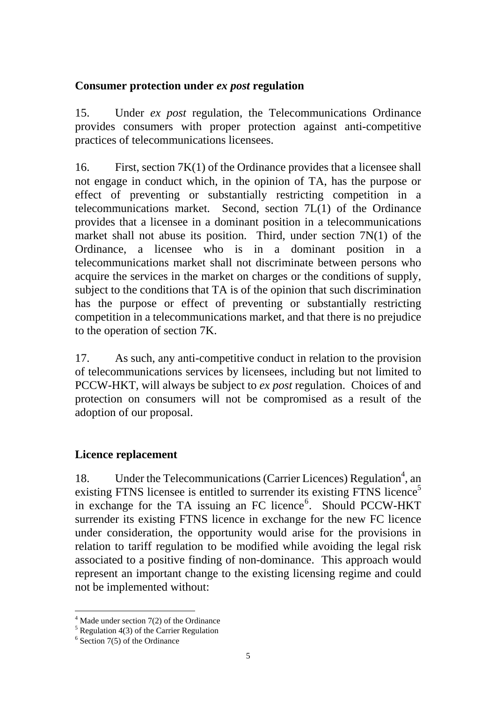### **Consumer protection under** *ex post* **regulation**

15. Under *ex post* regulation, the Telecommunications Ordinance provides consumers with proper protection against anti-competitive practices of telecommunications licensees.

16. First, section 7K(1) of the Ordinance provides that a licensee shall not engage in conduct which, in the opinion of TA, has the purpose or effect of preventing or substantially restricting competition in a telecommunications market. Second, section 7L(1) of the Ordinance provides that a licensee in a dominant position in a telecommunications market shall not abuse its position. Third, under section 7N(1) of the Ordinance, a licensee who is in a dominant position in a telecommunications market shall not discriminate between persons who acquire the services in the market on charges or the conditions of supply, subject to the conditions that TA is of the opinion that such discrimination has the purpose or effect of preventing or substantially restricting competition in a telecommunications market, and that there is no prejudice to the operation of section 7K.

17. As such, any anti-competitive conduct in relation to the provision of telecommunications services by licensees, including but not limited to PCCW-HKT, will always be subject to *ex post* regulation. Choices of and protection on consumers will not be compromised as a result of the adoption of our proposal.

## **Licence replacement**

18. Under the Telecommunications (Carrier Licences) Regulation<sup>4</sup>, an existing FTNS licensee is entitled to surrender its existing FTNS licence<sup>5</sup> in exchange for the TA issuing an FC licence<sup>6</sup>. Should PCCW-HKT surrender its existing FTNS licence in exchange for the new FC licence under consideration, the opportunity would arise for the provisions in relation to tariff regulation to be modified while avoiding the legal risk associated to a positive finding of non-dominance. This approach would represent an important change to the existing licensing regime and could not be implemented without:

 $\overline{a}$ 

<sup>&</sup>lt;sup>4</sup> Made under section 7(2) of the Ordinance

 $<sup>5</sup>$  Regulation 4(3) of the Carrier Regulation</sup>

<sup>6</sup> Section 7(5) of the Ordinance